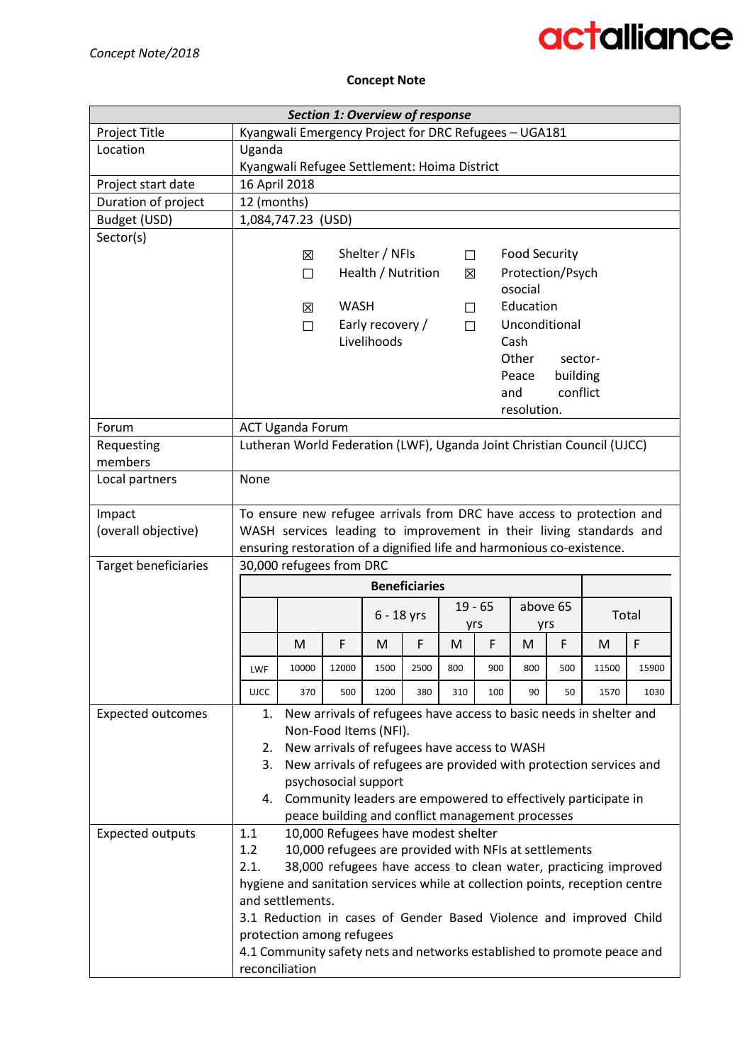### **Concept Note**

|                          |                |                                                       | <b>Section 1: Overview of response</b>                                |                    |                      |        |           |                      |                  |                                                                              |       |  |
|--------------------------|----------------|-------------------------------------------------------|-----------------------------------------------------------------------|--------------------|----------------------|--------|-----------|----------------------|------------------|------------------------------------------------------------------------------|-------|--|
| Project Title            |                | Kyangwali Emergency Project for DRC Refugees - UGA181 |                                                                       |                    |                      |        |           |                      |                  |                                                                              |       |  |
| Location                 | Uganda         |                                                       |                                                                       |                    |                      |        |           |                      |                  |                                                                              |       |  |
|                          |                | Kyangwali Refugee Settlement: Hoima District          |                                                                       |                    |                      |        |           |                      |                  |                                                                              |       |  |
| Project start date       |                | 16 April 2018                                         |                                                                       |                    |                      |        |           |                      |                  |                                                                              |       |  |
| Duration of project      | 12 (months)    |                                                       |                                                                       |                    |                      |        |           |                      |                  |                                                                              |       |  |
| Budget (USD)             |                | 1,084,747.23 (USD)                                    |                                                                       |                    |                      |        |           |                      |                  |                                                                              |       |  |
| Sector(s)                |                |                                                       |                                                                       |                    |                      |        |           |                      |                  |                                                                              |       |  |
|                          |                | 区                                                     |                                                                       | Shelter / NFIs     |                      | $\Box$ |           | <b>Food Security</b> |                  |                                                                              |       |  |
|                          |                | П                                                     |                                                                       | Health / Nutrition |                      | 区      |           |                      | Protection/Psych |                                                                              |       |  |
|                          |                |                                                       |                                                                       |                    |                      |        |           | osocial              |                  |                                                                              |       |  |
|                          |                | 区                                                     | <b>WASH</b>                                                           |                    |                      | $\Box$ |           | Education            |                  |                                                                              |       |  |
|                          |                | $\Box$                                                |                                                                       | Early recovery /   |                      | $\Box$ |           |                      | Unconditional    |                                                                              |       |  |
|                          |                |                                                       |                                                                       | Livelihoods        |                      |        |           | Cash                 |                  |                                                                              |       |  |
|                          |                |                                                       |                                                                       |                    |                      |        |           | Other                | sector-          |                                                                              |       |  |
|                          |                |                                                       |                                                                       |                    |                      |        |           | Peace                | building         |                                                                              |       |  |
|                          |                |                                                       |                                                                       |                    |                      |        |           | and                  | conflict         |                                                                              |       |  |
| Forum                    |                |                                                       |                                                                       |                    |                      |        |           | resolution.          |                  |                                                                              |       |  |
| Requesting               |                | <b>ACT Uganda Forum</b>                               |                                                                       |                    |                      |        |           |                      |                  | Lutheran World Federation (LWF), Uganda Joint Christian Council (UJCC)       |       |  |
| members                  |                |                                                       |                                                                       |                    |                      |        |           |                      |                  |                                                                              |       |  |
| Local partners           | None           |                                                       |                                                                       |                    |                      |        |           |                      |                  |                                                                              |       |  |
|                          |                |                                                       |                                                                       |                    |                      |        |           |                      |                  |                                                                              |       |  |
| Impact                   |                |                                                       |                                                                       |                    |                      |        |           |                      |                  | To ensure new refugee arrivals from DRC have access to protection and        |       |  |
| (overall objective)      |                |                                                       |                                                                       |                    |                      |        |           |                      |                  | WASH services leading to improvement in their living standards and           |       |  |
|                          |                |                                                       |                                                                       |                    |                      |        |           |                      |                  | ensuring restoration of a dignified life and harmonious co-existence.        |       |  |
| Target beneficiaries     |                | 30,000 refugees from DRC                              |                                                                       |                    |                      |        |           |                      |                  |                                                                              |       |  |
|                          |                |                                                       |                                                                       |                    | <b>Beneficiaries</b> |        |           |                      |                  |                                                                              |       |  |
|                          |                |                                                       |                                                                       | $6 - 18$ yrs       |                      |        | $19 - 65$ |                      | above 65         |                                                                              | Total |  |
|                          |                |                                                       | F                                                                     |                    | F                    | yrs    | F         | yrs<br>M             | F                |                                                                              | F     |  |
|                          |                | M                                                     |                                                                       | M                  |                      | M      |           |                      |                  | M                                                                            |       |  |
|                          | LWF            | 10000                                                 | 12000                                                                 | 1500               | 2500                 | 800    | 900       | 800                  | 500              | 11500                                                                        | 15900 |  |
|                          | <b>UJCC</b>    | 370                                                   | 500                                                                   | 1200               | 380                  | 310    | 100       | 90                   | 50               | 1570                                                                         | 1030  |  |
| <b>Expected outcomes</b> | 1.             |                                                       |                                                                       |                    |                      |        |           |                      |                  | New arrivals of refugees have access to basic needs in shelter and           |       |  |
|                          |                |                                                       | Non-Food Items (NFI).<br>New arrivals of refugees have access to WASH |                    |                      |        |           |                      |                  |                                                                              |       |  |
|                          | 2.<br>3.       |                                                       |                                                                       |                    |                      |        |           |                      |                  | New arrivals of refugees are provided with protection services and           |       |  |
|                          |                |                                                       | psychosocial support                                                  |                    |                      |        |           |                      |                  |                                                                              |       |  |
|                          | 4.             |                                                       |                                                                       |                    |                      |        |           |                      |                  | Community leaders are empowered to effectively participate in                |       |  |
|                          |                |                                                       | peace building and conflict management processes                      |                    |                      |        |           |                      |                  |                                                                              |       |  |
| <b>Expected outputs</b>  | 1.1            |                                                       | 10,000 Refugees have modest shelter                                   |                    |                      |        |           |                      |                  |                                                                              |       |  |
|                          | 1.2            |                                                       | 10,000 refugees are provided with NFIs at settlements                 |                    |                      |        |           |                      |                  |                                                                              |       |  |
|                          | 2.1.           |                                                       |                                                                       |                    |                      |        |           |                      |                  | 38,000 refugees have access to clean water, practicing improved              |       |  |
|                          |                |                                                       |                                                                       |                    |                      |        |           |                      |                  | hygiene and sanitation services while at collection points, reception centre |       |  |
|                          |                | and settlements.                                      |                                                                       |                    |                      |        |           |                      |                  |                                                                              |       |  |
|                          |                |                                                       |                                                                       |                    |                      |        |           |                      |                  | 3.1 Reduction in cases of Gender Based Violence and improved Child           |       |  |
|                          |                | protection among refugees                             |                                                                       |                    |                      |        |           |                      |                  |                                                                              |       |  |
|                          |                |                                                       |                                                                       |                    |                      |        |           |                      |                  | 4.1 Community safety nets and networks established to promote peace and      |       |  |
|                          | reconciliation |                                                       |                                                                       |                    |                      |        |           |                      |                  |                                                                              |       |  |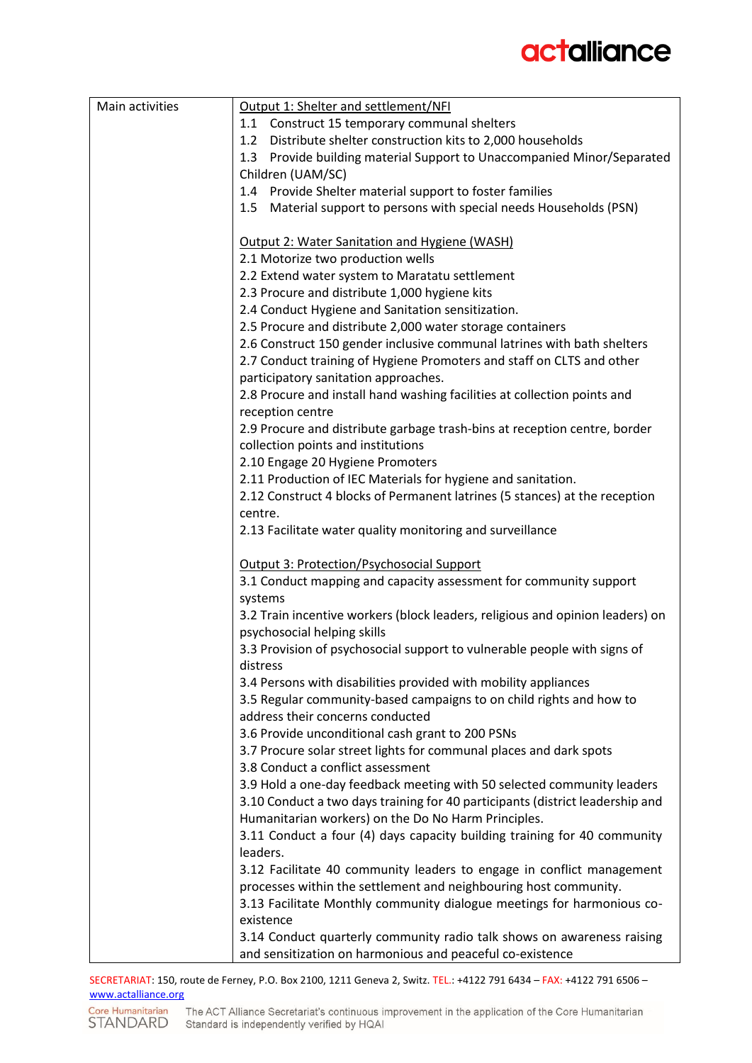| Main activities | Output 1: Shelter and settlement/NFI                                          |  |  |  |  |  |  |  |  |  |
|-----------------|-------------------------------------------------------------------------------|--|--|--|--|--|--|--|--|--|
|                 | 1.1 Construct 15 temporary communal shelters                                  |  |  |  |  |  |  |  |  |  |
|                 | 1.2 Distribute shelter construction kits to 2,000 households                  |  |  |  |  |  |  |  |  |  |
|                 | 1.3 Provide building material Support to Unaccompanied Minor/Separated        |  |  |  |  |  |  |  |  |  |
|                 | Children (UAM/SC)                                                             |  |  |  |  |  |  |  |  |  |
|                 | 1.4 Provide Shelter material support to foster families                       |  |  |  |  |  |  |  |  |  |
|                 | 1.5 Material support to persons with special needs Households (PSN)           |  |  |  |  |  |  |  |  |  |
|                 |                                                                               |  |  |  |  |  |  |  |  |  |
|                 | Output 2: Water Sanitation and Hygiene (WASH)                                 |  |  |  |  |  |  |  |  |  |
|                 | 2.1 Motorize two production wells                                             |  |  |  |  |  |  |  |  |  |
|                 | 2.2 Extend water system to Maratatu settlement                                |  |  |  |  |  |  |  |  |  |
|                 | 2.3 Procure and distribute 1,000 hygiene kits                                 |  |  |  |  |  |  |  |  |  |
|                 | 2.4 Conduct Hygiene and Sanitation sensitization.                             |  |  |  |  |  |  |  |  |  |
|                 | 2.5 Procure and distribute 2,000 water storage containers                     |  |  |  |  |  |  |  |  |  |
|                 | 2.6 Construct 150 gender inclusive communal latrines with bath shelters       |  |  |  |  |  |  |  |  |  |
|                 | 2.7 Conduct training of Hygiene Promoters and staff on CLTS and other         |  |  |  |  |  |  |  |  |  |
|                 | participatory sanitation approaches.                                          |  |  |  |  |  |  |  |  |  |
|                 | 2.8 Procure and install hand washing facilities at collection points and      |  |  |  |  |  |  |  |  |  |
|                 | reception centre                                                              |  |  |  |  |  |  |  |  |  |
|                 | 2.9 Procure and distribute garbage trash-bins at reception centre, border     |  |  |  |  |  |  |  |  |  |
|                 | collection points and institutions                                            |  |  |  |  |  |  |  |  |  |
|                 | 2.10 Engage 20 Hygiene Promoters                                              |  |  |  |  |  |  |  |  |  |
|                 | 2.11 Production of IEC Materials for hygiene and sanitation.                  |  |  |  |  |  |  |  |  |  |
|                 | 2.12 Construct 4 blocks of Permanent latrines (5 stances) at the reception    |  |  |  |  |  |  |  |  |  |
|                 | centre.                                                                       |  |  |  |  |  |  |  |  |  |
|                 | 2.13 Facilitate water quality monitoring and surveillance                     |  |  |  |  |  |  |  |  |  |
|                 |                                                                               |  |  |  |  |  |  |  |  |  |
|                 | Output 3: Protection/Psychosocial Support                                     |  |  |  |  |  |  |  |  |  |
|                 | 3.1 Conduct mapping and capacity assessment for community support             |  |  |  |  |  |  |  |  |  |
|                 | systems                                                                       |  |  |  |  |  |  |  |  |  |
|                 | 3.2 Train incentive workers (block leaders, religious and opinion leaders) on |  |  |  |  |  |  |  |  |  |
|                 | psychosocial helping skills                                                   |  |  |  |  |  |  |  |  |  |
|                 | 3.3 Provision of psychosocial support to vulnerable people with signs of      |  |  |  |  |  |  |  |  |  |
|                 | distress                                                                      |  |  |  |  |  |  |  |  |  |
|                 | 3.4 Persons with disabilities provided with mobility appliances               |  |  |  |  |  |  |  |  |  |
|                 | 3.5 Regular community-based campaigns to on child rights and how to           |  |  |  |  |  |  |  |  |  |
|                 | address their concerns conducted                                              |  |  |  |  |  |  |  |  |  |
|                 | 3.6 Provide unconditional cash grant to 200 PSNs                              |  |  |  |  |  |  |  |  |  |
|                 | 3.7 Procure solar street lights for communal places and dark spots            |  |  |  |  |  |  |  |  |  |
|                 | 3.8 Conduct a conflict assessment                                             |  |  |  |  |  |  |  |  |  |
|                 | 3.9 Hold a one-day feedback meeting with 50 selected community leaders        |  |  |  |  |  |  |  |  |  |
|                 | 3.10 Conduct a two days training for 40 participants (district leadership and |  |  |  |  |  |  |  |  |  |
|                 | Humanitarian workers) on the Do No Harm Principles.                           |  |  |  |  |  |  |  |  |  |
|                 | 3.11 Conduct a four (4) days capacity building training for 40 community      |  |  |  |  |  |  |  |  |  |
|                 | leaders.                                                                      |  |  |  |  |  |  |  |  |  |
|                 | 3.12 Facilitate 40 community leaders to engage in conflict management         |  |  |  |  |  |  |  |  |  |
|                 | processes within the settlement and neighbouring host community.              |  |  |  |  |  |  |  |  |  |
|                 | 3.13 Facilitate Monthly community dialogue meetings for harmonious co-        |  |  |  |  |  |  |  |  |  |
|                 | existence                                                                     |  |  |  |  |  |  |  |  |  |
|                 | 3.14 Conduct quarterly community radio talk shows on awareness raising        |  |  |  |  |  |  |  |  |  |
|                 | and sensitization on harmonious and peaceful co-existence                     |  |  |  |  |  |  |  |  |  |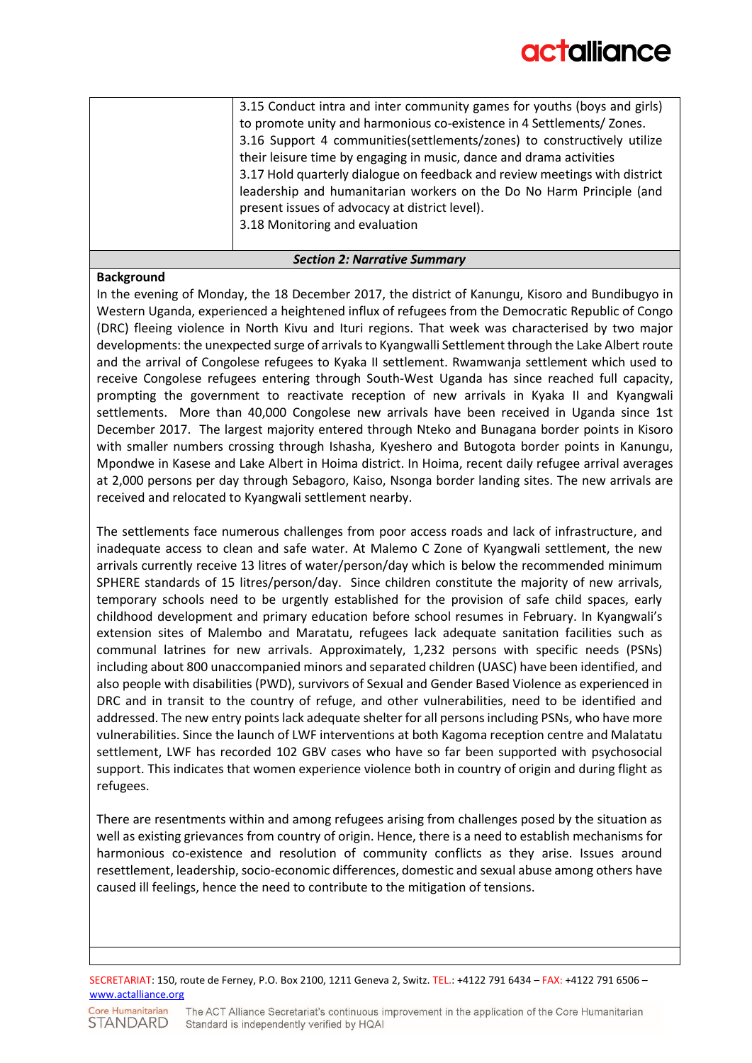| 3.15 Conduct intra and inter community games for youths (boys and girls)   |
|----------------------------------------------------------------------------|
| to promote unity and harmonious co-existence in 4 Settlements/ Zones.      |
| 3.16 Support 4 communities(settlements/zones) to constructively utilize    |
| their leisure time by engaging in music, dance and drama activities        |
| 3.17 Hold quarterly dialogue on feedback and review meetings with district |
| leadership and humanitarian workers on the Do No Harm Principle (and       |
| present issues of advocacy at district level).                             |
| 3.18 Monitoring and evaluation                                             |
|                                                                            |

#### *Section 2: Narrative Summary*

### **Background**

In the evening of Monday, the 18 December 2017, the district of Kanungu, Kisoro and Bundibugyo in Western Uganda, experienced a heightened influx of refugees from the Democratic Republic of Congo (DRC) fleeing violence in North Kivu and Ituri regions. That week was characterised by two major developments: the unexpected surge of arrivals to Kyangwalli Settlement through the Lake Albert route and the arrival of Congolese refugees to Kyaka II settlement. Rwamwanja settlement which used to receive Congolese refugees entering through South-West Uganda has since reached full capacity, prompting the government to reactivate reception of new arrivals in Kyaka II and Kyangwali settlements. More than 40,000 Congolese new arrivals have been received in Uganda since 1st December 2017. The largest majority entered through Nteko and Bunagana border points in Kisoro with smaller numbers crossing through Ishasha, Kyeshero and Butogota border points in Kanungu, Mpondwe in Kasese and Lake Albert in Hoima district. In Hoima, recent daily refugee arrival averages at 2,000 persons per day through Sebagoro, Kaiso, Nsonga border landing sites. The new arrivals are received and relocated to Kyangwali settlement nearby.

The settlements face numerous challenges from poor access roads and lack of infrastructure, and inadequate access to clean and safe water. At Malemo C Zone of Kyangwali settlement, the new arrivals currently receive 13 litres of water/person/day which is below the recommended minimum SPHERE standards of 15 litres/person/day. Since children constitute the majority of new arrivals, temporary schools need to be urgently established for the provision of safe child spaces, early childhood development and primary education before school resumes in February. In Kyangwali's extension sites of Malembo and Maratatu, refugees lack adequate sanitation facilities such as communal latrines for new arrivals. Approximately, 1,232 persons with specific needs (PSNs) including about 800 unaccompanied minors and separated children (UASC) have been identified, and also people with disabilities (PWD), survivors of Sexual and Gender Based Violence as experienced in DRC and in transit to the country of refuge, and other vulnerabilities, need to be identified and addressed. The new entry points lack adequate shelter for all persons including PSNs, who have more vulnerabilities. Since the launch of LWF interventions at both Kagoma reception centre and Malatatu settlement, LWF has recorded 102 GBV cases who have so far been supported with psychosocial support. This indicates that women experience violence both in country of origin and during flight as refugees.

There are resentments within and among refugees arising from challenges posed by the situation as well as existing grievances from country of origin. Hence, there is a need to establish mechanisms for harmonious co-existence and resolution of community conflicts as they arise. Issues around resettlement, leadership, socio-economic differences, domestic and sexual abuse among others have caused ill feelings, hence the need to contribute to the mitigation of tensions.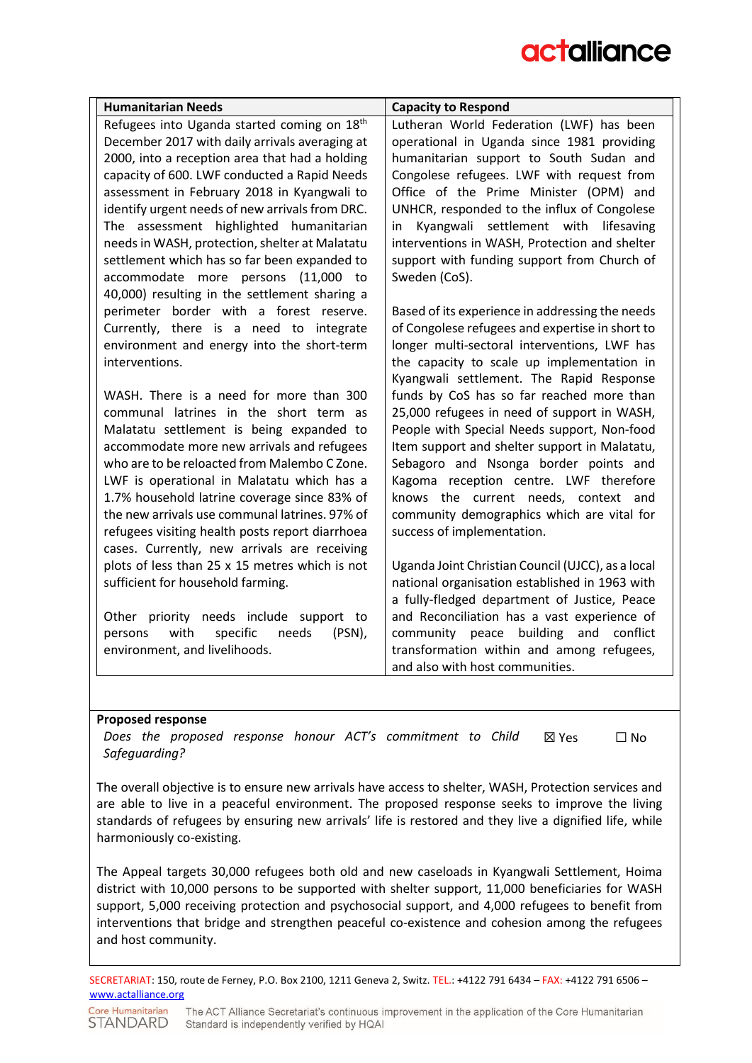| <b>Humanitarian Needs</b>                                    | <b>Capacity to Respond</b>                                                             |
|--------------------------------------------------------------|----------------------------------------------------------------------------------------|
| Refugees into Uganda started coming on 18 <sup>th</sup>      | Lutheran World Federation (LWF) has been                                               |
| December 2017 with daily arrivals averaging at               | operational in Uganda since 1981 providing                                             |
| 2000, into a reception area that had a holding               | humanitarian support to South Sudan and                                                |
| capacity of 600. LWF conducted a Rapid Needs                 | Congolese refugees. LWF with request from                                              |
| assessment in February 2018 in Kyangwali to                  | Office of the Prime Minister (OPM) and                                                 |
| identify urgent needs of new arrivals from DRC.              | UNHCR, responded to the influx of Congolese                                            |
| The assessment highlighted humanitarian                      | Kyangwali settlement with lifesaving<br>in                                             |
| needs in WASH, protection, shelter at Malatatu               | interventions in WASH, Protection and shelter                                          |
| settlement which has so far been expanded to                 | support with funding support from Church of                                            |
| accommodate more persons (11,000 to                          | Sweden (CoS).                                                                          |
| 40,000) resulting in the settlement sharing a                |                                                                                        |
| perimeter border with a forest reserve.                      | Based of its experience in addressing the needs                                        |
| Currently, there is a need to integrate                      | of Congolese refugees and expertise in short to                                        |
| environment and energy into the short-term<br>interventions. | longer multi-sectoral interventions, LWF has                                           |
|                                                              | the capacity to scale up implementation in<br>Kyangwali settlement. The Rapid Response |
| WASH. There is a need for more than 300                      | funds by CoS has so far reached more than                                              |
| communal latrines in the short term as                       | 25,000 refugees in need of support in WASH,                                            |
| Malatatu settlement is being expanded to                     | People with Special Needs support, Non-food                                            |
| accommodate more new arrivals and refugees                   | Item support and shelter support in Malatatu,                                          |
| who are to be reloacted from Malembo C Zone.                 | Sebagoro and Nsonga border points and                                                  |
| LWF is operational in Malatatu which has a                   | Kagoma reception centre. LWF therefore                                                 |
| 1.7% household latrine coverage since 83% of                 | knows the current needs, context and                                                   |
| the new arrivals use communal latrines. 97% of               | community demographics which are vital for                                             |
| refugees visiting health posts report diarrhoea              | success of implementation.                                                             |
| cases. Currently, new arrivals are receiving                 |                                                                                        |
| plots of less than 25 x 15 metres which is not               | Uganda Joint Christian Council (UJCC), as a local                                      |
| sufficient for household farming.                            | national organisation established in 1963 with                                         |
|                                                              | a fully-fledged department of Justice, Peace                                           |
| Other priority needs include support to                      | and Reconciliation has a vast experience of                                            |
| with<br>specific<br>needs<br>(PSN),<br>persons               | community peace building<br>and<br>conflict                                            |
| environment, and livelihoods.                                | transformation within and among refugees,                                              |
|                                                              | and also with host communities.                                                        |

#### **Proposed response**

*Does the proposed response honour ACT's commitment to Child Safeguarding?*  ☒ Yes ☐ No

The overall objective is to ensure new arrivals have access to shelter, WASH, Protection services and are able to live in a peaceful environment. The proposed response seeks to improve the living standards of refugees by ensuring new arrivals' life is restored and they live a dignified life, while harmoniously co-existing.

The Appeal targets 30,000 refugees both old and new caseloads in Kyangwali Settlement, Hoima district with 10,000 persons to be supported with shelter support, 11,000 beneficiaries for WASH support, 5,000 receiving protection and psychosocial support, and 4,000 refugees to benefit from interventions that bridge and strengthen peaceful co-existence and cohesion among the refugees and host community.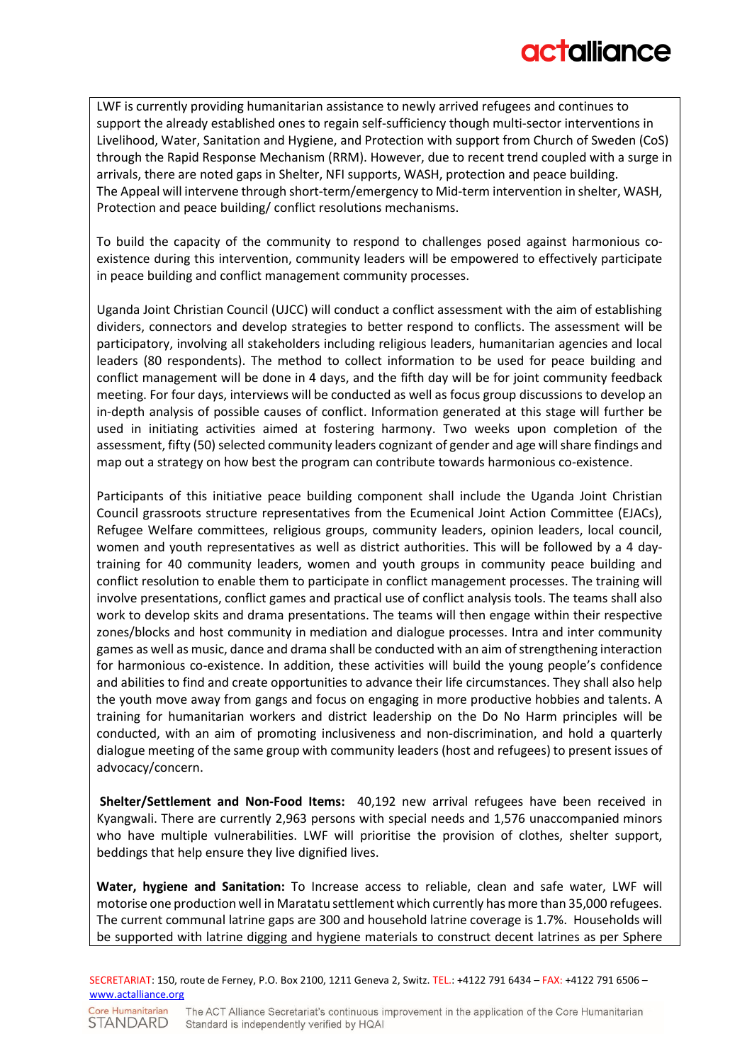LWF is currently providing humanitarian assistance to newly arrived refugees and continues to support the already established ones to regain self-sufficiency though multi-sector interventions in Livelihood, Water, Sanitation and Hygiene, and Protection with support from Church of Sweden (CoS) through the Rapid Response Mechanism (RRM). However, due to recent trend coupled with a surge in arrivals, there are noted gaps in Shelter, NFI supports, WASH, protection and peace building. The Appeal will intervene through short-term/emergency to Mid-term intervention in shelter, WASH, Protection and peace building/ conflict resolutions mechanisms.

To build the capacity of the community to respond to challenges posed against harmonious coexistence during this intervention, community leaders will be empowered to effectively participate in peace building and conflict management community processes.

Uganda Joint Christian Council (UJCC) will conduct a conflict assessment with the aim of establishing dividers, connectors and develop strategies to better respond to conflicts. The assessment will be participatory, involving all stakeholders including religious leaders, humanitarian agencies and local leaders (80 respondents). The method to collect information to be used for peace building and conflict management will be done in 4 days, and the fifth day will be for joint community feedback meeting. For four days, interviews will be conducted as well as focus group discussions to develop an in-depth analysis of possible causes of conflict. Information generated at this stage will further be used in initiating activities aimed at fostering harmony. Two weeks upon completion of the assessment, fifty (50) selected community leaders cognizant of gender and age will share findings and map out a strategy on how best the program can contribute towards harmonious co-existence.

Participants of this initiative peace building component shall include the Uganda Joint Christian Council grassroots structure representatives from the Ecumenical Joint Action Committee (EJACs), Refugee Welfare committees, religious groups, community leaders, opinion leaders, local council, women and youth representatives as well as district authorities. This will be followed by a 4 daytraining for 40 community leaders, women and youth groups in community peace building and conflict resolution to enable them to participate in conflict management processes. The training will involve presentations, conflict games and practical use of conflict analysis tools. The teams shall also work to develop skits and drama presentations. The teams will then engage within their respective zones/blocks and host community in mediation and dialogue processes. Intra and inter community games as well as music, dance and drama shall be conducted with an aim of strengthening interaction for harmonious co-existence. In addition, these activities will build the young people's confidence and abilities to find and create opportunities to advance their life circumstances. They shall also help the youth move away from gangs and focus on engaging in more productive hobbies and talents. A training for humanitarian workers and district leadership on the Do No Harm principles will be conducted, with an aim of promoting inclusiveness and non-discrimination, and hold a quarterly dialogue meeting of the same group with community leaders (host and refugees) to present issues of advocacy/concern.

**Shelter/Settlement and Non-Food Items:** 40,192 new arrival refugees have been received in Kyangwali. There are currently 2,963 persons with special needs and 1,576 unaccompanied minors who have multiple vulnerabilities. LWF will prioritise the provision of clothes, shelter support, beddings that help ensure they live dignified lives.

**Water, hygiene and Sanitation:** To Increase access to reliable, clean and safe water, LWF will motorise one production well in Maratatu settlement which currently has more than 35,000 refugees. The current communal latrine gaps are 300 and household latrine coverage is 1.7%. Households will be supported with latrine digging and hygiene materials to construct decent latrines as per Sphere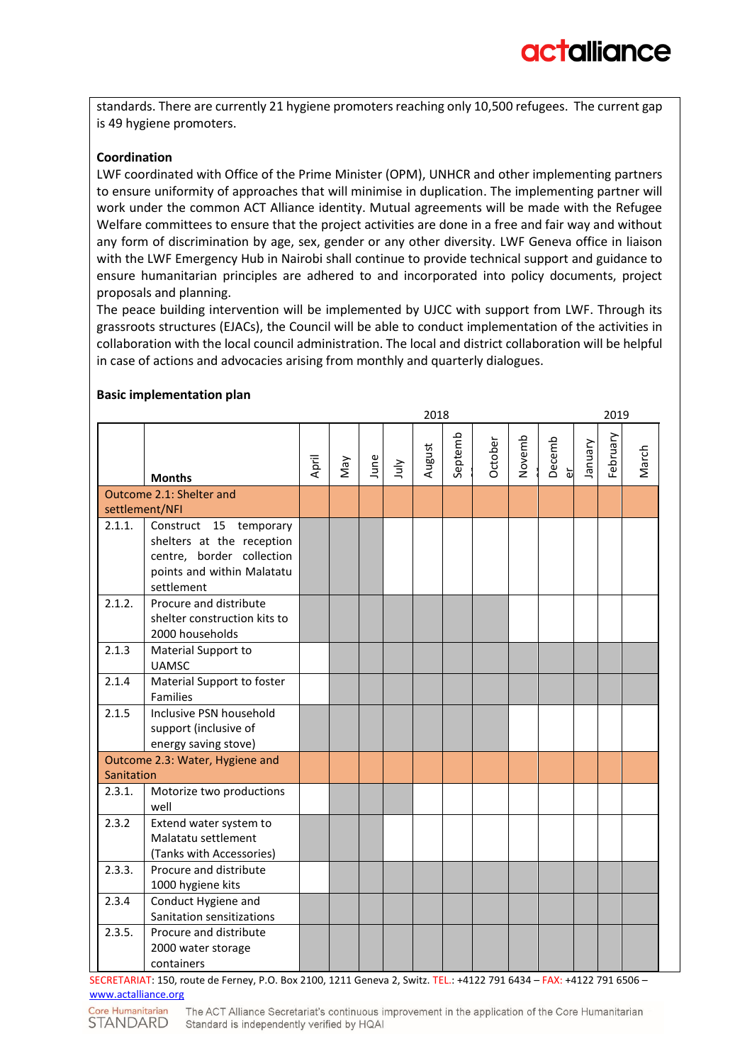standards. There are currently 21 hygiene promoters reaching only 10,500 refugees. The current gap is 49 hygiene promoters.

#### **Coordination**

LWF coordinated with Office of the Prime Minister (OPM), UNHCR and other implementing partners to ensure uniformity of approaches that will minimise in duplication. The implementing partner will work under the common ACT Alliance identity. Mutual agreements will be made with the Refugee Welfare committees to ensure that the project activities are done in a free and fair way and without any form of discrimination by age, sex, gender or any other diversity. LWF Geneva office in liaison with the LWF Emergency Hub in Nairobi shall continue to provide technical support and guidance to ensure humanitarian principles are adhered to and incorporated into policy documents, project proposals and planning.

The peace building intervention will be implemented by UJCC with support from LWF. Through its grassroots structures (EJACs), the Council will be able to conduct implementation of the activities in collaboration with the local council administration. The local and district collaboration will be helpful in case of actions and advocacies arising from monthly and quarterly dialogues.

#### **Basic implementation plan**

|            |                                                                                                                              |       |     |      |      | 2018   |         |         |        |             |          | 2019     |       |
|------------|------------------------------------------------------------------------------------------------------------------------------|-------|-----|------|------|--------|---------|---------|--------|-------------|----------|----------|-------|
|            | <b>Months</b>                                                                                                                | April | Vay | June | ylul | August | Septemb | October | Novemb | Decemb<br>မ | Vienuary | February | March |
|            | Outcome 2.1: Shelter and                                                                                                     |       |     |      |      |        |         |         |        |             |          |          |       |
|            | settlement/NFI                                                                                                               |       |     |      |      |        |         |         |        |             |          |          |       |
| 2.1.1.     | Construct 15 temporary<br>shelters at the reception<br>centre, border collection<br>points and within Malatatu<br>settlement |       |     |      |      |        |         |         |        |             |          |          |       |
| 2.1.2.     | Procure and distribute<br>shelter construction kits to<br>2000 households                                                    |       |     |      |      |        |         |         |        |             |          |          |       |
| 2.1.3      | Material Support to<br><b>UAMSC</b>                                                                                          |       |     |      |      |        |         |         |        |             |          |          |       |
| 2.1.4      | Material Support to foster<br>Families                                                                                       |       |     |      |      |        |         |         |        |             |          |          |       |
| 2.1.5      | Inclusive PSN household<br>support (inclusive of<br>energy saving stove)                                                     |       |     |      |      |        |         |         |        |             |          |          |       |
| Sanitation | Outcome 2.3: Water, Hygiene and                                                                                              |       |     |      |      |        |         |         |        |             |          |          |       |
| 2.3.1.     | Motorize two productions<br>well                                                                                             |       |     |      |      |        |         |         |        |             |          |          |       |
| 2.3.2      | Extend water system to<br>Malatatu settlement<br>(Tanks with Accessories)                                                    |       |     |      |      |        |         |         |        |             |          |          |       |
| 2.3.3.     | Procure and distribute<br>1000 hygiene kits                                                                                  |       |     |      |      |        |         |         |        |             |          |          |       |
| 2.3.4      | Conduct Hygiene and<br>Sanitation sensitizations                                                                             |       |     |      |      |        |         |         |        |             |          |          |       |
| 2.3.5.     | Procure and distribute<br>2000 water storage<br>containers                                                                   |       |     |      |      |        |         |         |        |             |          |          |       |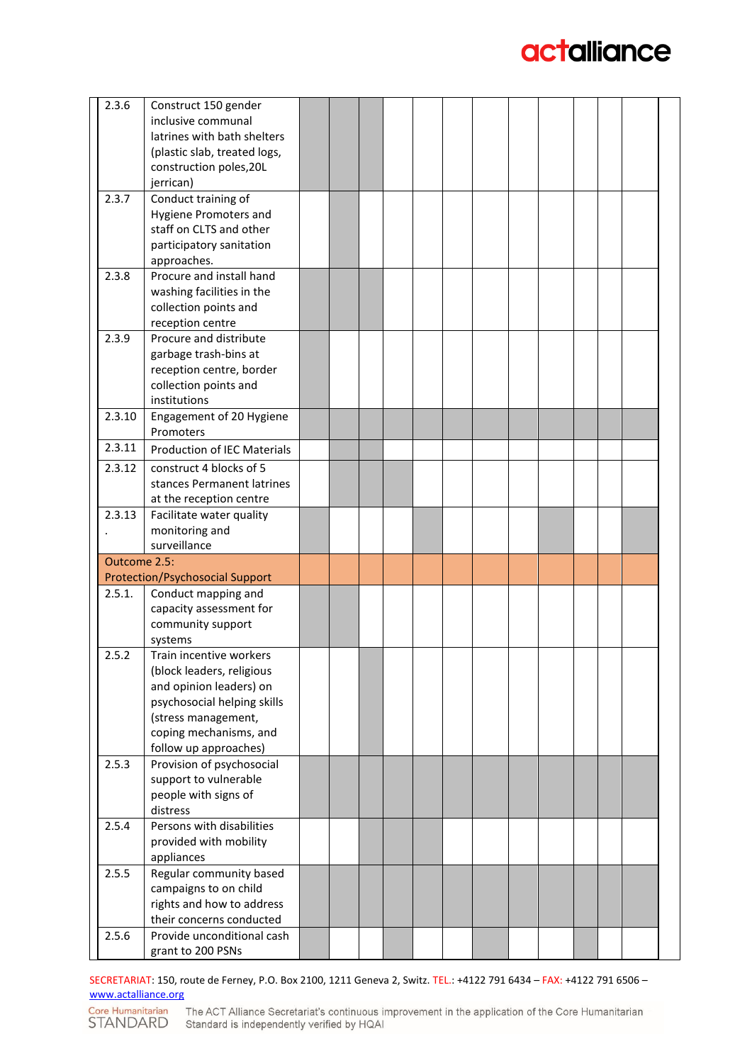| 2.3.6        | Construct 150 gender                   |  |  |  |  |  |  |
|--------------|----------------------------------------|--|--|--|--|--|--|
|              | inclusive communal                     |  |  |  |  |  |  |
|              | latrines with bath shelters            |  |  |  |  |  |  |
|              | (plastic slab, treated logs,           |  |  |  |  |  |  |
|              | construction poles, 20L                |  |  |  |  |  |  |
|              | jerrican)                              |  |  |  |  |  |  |
| 2.3.7        | Conduct training of                    |  |  |  |  |  |  |
|              | <b>Hygiene Promoters and</b>           |  |  |  |  |  |  |
|              | staff on CLTS and other                |  |  |  |  |  |  |
|              | participatory sanitation               |  |  |  |  |  |  |
|              | approaches.                            |  |  |  |  |  |  |
| 2.3.8        | Procure and install hand               |  |  |  |  |  |  |
|              | washing facilities in the              |  |  |  |  |  |  |
|              | collection points and                  |  |  |  |  |  |  |
|              | reception centre                       |  |  |  |  |  |  |
| 2.3.9        | Procure and distribute                 |  |  |  |  |  |  |
|              |                                        |  |  |  |  |  |  |
|              | garbage trash-bins at                  |  |  |  |  |  |  |
|              | reception centre, border               |  |  |  |  |  |  |
|              | collection points and                  |  |  |  |  |  |  |
|              | institutions                           |  |  |  |  |  |  |
| 2.3.10       | Engagement of 20 Hygiene               |  |  |  |  |  |  |
|              | Promoters                              |  |  |  |  |  |  |
| 2.3.11       | <b>Production of IEC Materials</b>     |  |  |  |  |  |  |
| 2.3.12       | construct 4 blocks of 5                |  |  |  |  |  |  |
|              | stances Permanent latrines             |  |  |  |  |  |  |
|              | at the reception centre                |  |  |  |  |  |  |
| 2.3.13       | Facilitate water quality               |  |  |  |  |  |  |
|              | monitoring and                         |  |  |  |  |  |  |
|              | surveillance                           |  |  |  |  |  |  |
| Outcome 2.5: |                                        |  |  |  |  |  |  |
|              | <b>Protection/Psychosocial Support</b> |  |  |  |  |  |  |
| 2.5.1.       | Conduct mapping and                    |  |  |  |  |  |  |
|              | capacity assessment for                |  |  |  |  |  |  |
|              | community support                      |  |  |  |  |  |  |
|              | systems                                |  |  |  |  |  |  |
| 2.5.2        | Train incentive workers                |  |  |  |  |  |  |
|              | (block leaders, religious              |  |  |  |  |  |  |
|              | and opinion leaders) on                |  |  |  |  |  |  |
|              | psychosocial helping skills            |  |  |  |  |  |  |
|              | (stress management,                    |  |  |  |  |  |  |
|              | coping mechanisms, and                 |  |  |  |  |  |  |
|              | follow up approaches)                  |  |  |  |  |  |  |
| 2.5.3        | Provision of psychosocial              |  |  |  |  |  |  |
|              | support to vulnerable                  |  |  |  |  |  |  |
|              | people with signs of                   |  |  |  |  |  |  |
|              | distress                               |  |  |  |  |  |  |
| 2.5.4        | Persons with disabilities              |  |  |  |  |  |  |
|              |                                        |  |  |  |  |  |  |
|              | provided with mobility                 |  |  |  |  |  |  |
|              | appliances                             |  |  |  |  |  |  |
| 2.5.5        | Regular community based                |  |  |  |  |  |  |
|              | campaigns to on child                  |  |  |  |  |  |  |
|              | rights and how to address              |  |  |  |  |  |  |
|              | their concerns conducted               |  |  |  |  |  |  |
| 2.5.6        | Provide unconditional cash             |  |  |  |  |  |  |
|              | grant to 200 PSNs                      |  |  |  |  |  |  |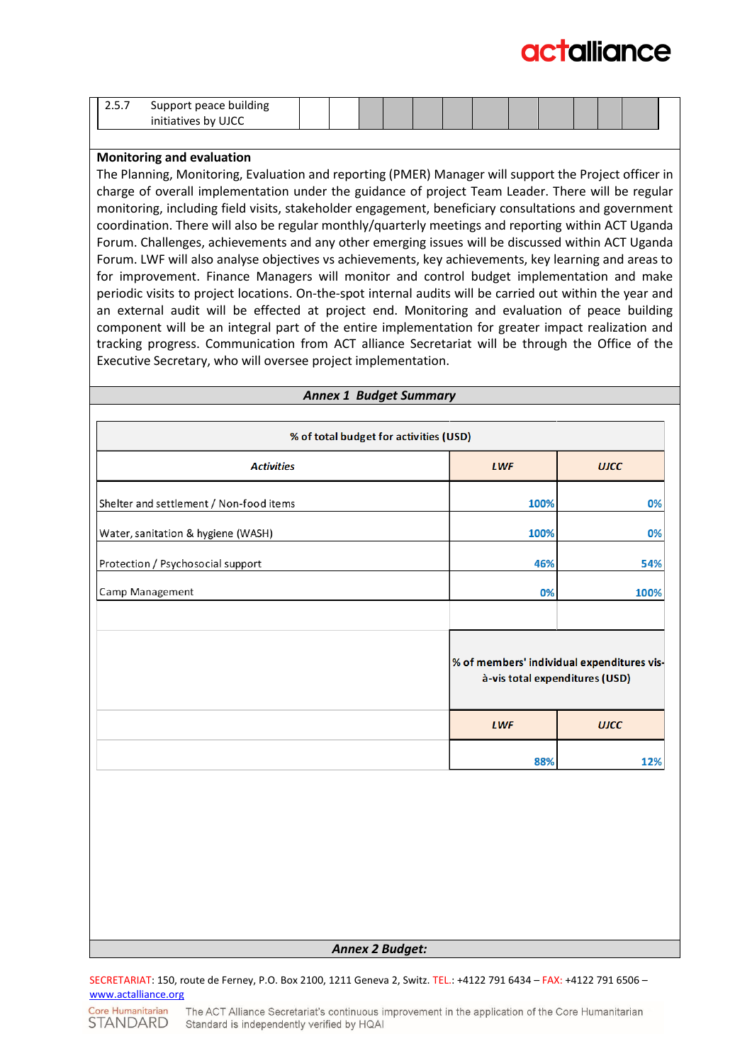| ، ب د | building<br>ueace                       |  |  |  |  |  |  |  |
|-------|-----------------------------------------|--|--|--|--|--|--|--|
|       | ،۱۱۲۲<br>.<br>tives<br>nv<br>$\tilde{}$ |  |  |  |  |  |  |  |

#### **Monitoring and evaluation**

The Planning, Monitoring, Evaluation and reporting (PMER) Manager will support the Project officer in charge of overall implementation under the guidance of project Team Leader. There will be regular monitoring, including field visits, stakeholder engagement, beneficiary consultations and government coordination. There will also be regular monthly/quarterly meetings and reporting within ACT Uganda Forum. Challenges, achievements and any other emerging issues will be discussed within ACT Uganda Forum. LWF will also analyse objectives vs achievements, key achievements, key learning and areas to for improvement. Finance Managers will monitor and control budget implementation and make periodic visits to project locations. On-the-spot internal audits will be carried out within the year and an external audit will be effected at project end. Monitoring and evaluation of peace building component will be an integral part of the entire implementation for greater impact realization and tracking progress. Communication from ACT alliance Secretariat will be through the Office of the Executive Secretary, who will oversee project implementation.

*Annex 1 Budget Summary*

| % of total budget for activities (USD)  |                                                                              |             |  |  |  |  |  |  |  |
|-----------------------------------------|------------------------------------------------------------------------------|-------------|--|--|--|--|--|--|--|
| <b>Activities</b>                       | <b>LWF</b>                                                                   | <b>UJCC</b> |  |  |  |  |  |  |  |
| Shelter and settlement / Non-food items | 100%                                                                         | 0%          |  |  |  |  |  |  |  |
| Water, sanitation & hygiene (WASH)      | 100%                                                                         | 0%          |  |  |  |  |  |  |  |
| Protection / Psychosocial support       | 46%                                                                          | 54%         |  |  |  |  |  |  |  |
| Camp Management                         | 0%                                                                           | 100%        |  |  |  |  |  |  |  |
|                                         |                                                                              |             |  |  |  |  |  |  |  |
|                                         | % of members' individual expenditures vis-<br>à-vis total expenditures (USD) |             |  |  |  |  |  |  |  |
|                                         | <b>LWF</b>                                                                   | <b>UJCC</b> |  |  |  |  |  |  |  |
|                                         | 88%                                                                          | 12%         |  |  |  |  |  |  |  |
|                                         |                                                                              |             |  |  |  |  |  |  |  |
|                                         |                                                                              |             |  |  |  |  |  |  |  |
|                                         |                                                                              |             |  |  |  |  |  |  |  |
|                                         |                                                                              |             |  |  |  |  |  |  |  |
|                                         |                                                                              |             |  |  |  |  |  |  |  |
|                                         | <b>Annex 2 Budget:</b>                                                       |             |  |  |  |  |  |  |  |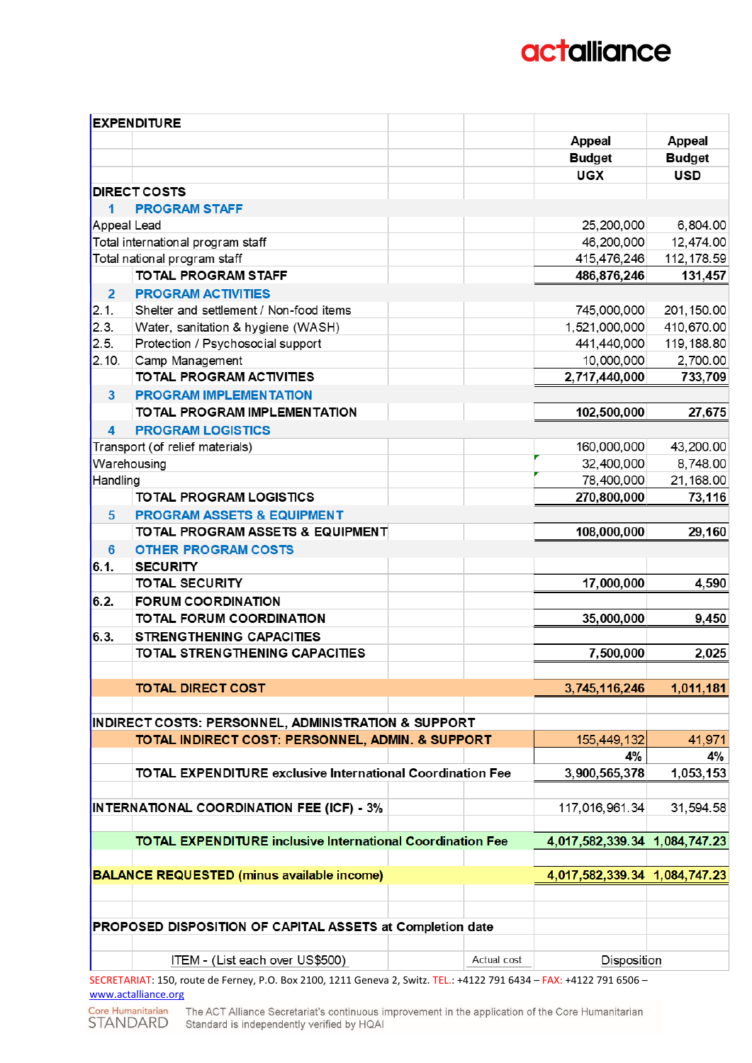|                | <b>EXPENDITURE</b>                                                                                                   |             |                               |               |
|----------------|----------------------------------------------------------------------------------------------------------------------|-------------|-------------------------------|---------------|
|                |                                                                                                                      |             | <b>Appeal</b>                 | <b>Appeal</b> |
|                |                                                                                                                      |             | <b>Budget</b>                 | <b>Budget</b> |
|                |                                                                                                                      |             | <b>UGX</b>                    | <b>USD</b>    |
|                | <b>DIRECT COSTS</b>                                                                                                  |             |                               |               |
| 1              | <b>PROGRAM STAFF</b>                                                                                                 |             |                               |               |
| Appeal Lead    |                                                                                                                      |             | 25,200,000                    | 6,804.00      |
|                | Total international program staff                                                                                    |             | 46,200,000                    | 12,474.00     |
|                | Total national program staff                                                                                         |             | 415,476,246                   | 112, 178.59   |
|                | <b>TOTAL PROGRAM STAFF</b>                                                                                           |             | 486,876,246                   | 131,457       |
| $\overline{2}$ | <b>PROGRAM ACTIVITIES</b>                                                                                            |             |                               |               |
| 2.1.           | Shelter and settlement / Non-food items                                                                              |             | 745,000,000                   | 201, 150.00   |
| 2.3.           | Water, sanitation & hygiene (WASH)                                                                                   |             | 1,521,000,000                 | 410,670.00    |
| 2.5.           | Protection / Psychosocial support                                                                                    |             | 441,440,000                   | 119, 188.80   |
| 2.10.          | Camp Management                                                                                                      |             | 10,000,000                    | 2,700.00      |
|                | TO TAL PROGRAM ACTIVITIES                                                                                            |             | 2,717,440,000                 | 733,709       |
| 3              | <b>PROGRAM IMPLEMENTATION</b>                                                                                        |             |                               |               |
|                | TO TAL PROGRAM IMPLEMENTATION                                                                                        |             | 102,500,000                   | 27,675        |
| 4              | <b>PROGRAM LOGISTICS</b>                                                                                             |             |                               |               |
|                | Transport (of relief materials)                                                                                      |             | 160,000,000                   | 43,200.00     |
|                | Warehousing                                                                                                          |             | 32,400,000                    | 8,748.00      |
| Handling       |                                                                                                                      |             | 78,400,000                    | 21,168.00     |
|                | <b>TO TAL PROGRAM LOGISTICS</b>                                                                                      |             | 270,800,000                   | 73,116        |
| 5              | <b>PROGRAM ASSETS &amp; EQUIPMENT</b>                                                                                |             |                               |               |
|                | TO TAL PROGRAM ASSETS & EQUIPMENT                                                                                    |             | 108,000,000                   | 29,160        |
| $6\phantom{1}$ | <b>OTHER PROGRAM COSTS</b>                                                                                           |             |                               |               |
| 6.1.           | <b>SECURITY</b>                                                                                                      |             |                               |               |
|                | <b>TOTAL SECURITY</b>                                                                                                |             | 17,000,000                    | 4,590         |
| 6.2.           | <b>FORUM COORDINATION</b>                                                                                            |             |                               |               |
|                | <b>TOTAL FORUM COORDINATION</b>                                                                                      |             | 35,000,000                    | 9,450         |
| 6.3.           | <b>STRENGTHENING CAPACITIES</b>                                                                                      |             |                               |               |
|                | TO TAL STRENG THENING CAPACITIES                                                                                     |             | 7,500,000                     | 2,025         |
|                |                                                                                                                      |             |                               |               |
|                | <b>TOTAL DIRECT COST</b>                                                                                             |             | 3,745,116,246                 | 1,011,181     |
|                |                                                                                                                      |             |                               |               |
|                | INDIRECT COSTS: PERSONNEL, ADMINISTRATION & SUPPORT                                                                  |             |                               |               |
|                | TO TAL INDIRECT COST: PERSONNEL, ADMIN. & SUPPORT                                                                    |             | 155,449,132                   | 41,971        |
|                |                                                                                                                      |             | 4%                            | 4%            |
|                | <b>TOTAL EXPENDITURE exclusive International Coordination Fee</b>                                                    |             | 3,900,565,378                 | 1,053,153     |
|                |                                                                                                                      |             |                               |               |
|                | <b>INTERNATIONAL COORDINATION FEE (ICF) - 3%</b>                                                                     |             | 117,016,961.34                | 31,594.58     |
|                |                                                                                                                      |             |                               |               |
|                | <b>TOTAL EXPENDITURE inclusive International Coordination Fee</b>                                                    |             | 4,017,582,339.34 1,084,747.23 |               |
|                |                                                                                                                      |             |                               |               |
|                | <b>BALANCE REQUESTED (minus available income)</b>                                                                    |             | 4,017,582,339.34 1,084,747.23 |               |
|                |                                                                                                                      |             |                               |               |
|                | PROPOSED DISPOSITION OF CAPITAL ASSETS at Completion date                                                            |             |                               |               |
|                |                                                                                                                      |             |                               |               |
|                | ITEM - (List each over US\$500)                                                                                      | Actual cost | Disposition                   |               |
|                | SECRETARIAT: 150, route de Ferney, P.O. Box 2100, 1211 Geneva 2, Switz. TEL.: +4122 791 6434 - FAX: +4122 791 6506 - |             |                               |               |

[www.actalliance.org](http://www.actalliance.org/)Core Humanitarian The ACT Alliance Secretariat's continuous improvement in the application of the Core Humanitarian<br>STANDARD Standard is independently verified by HQAI